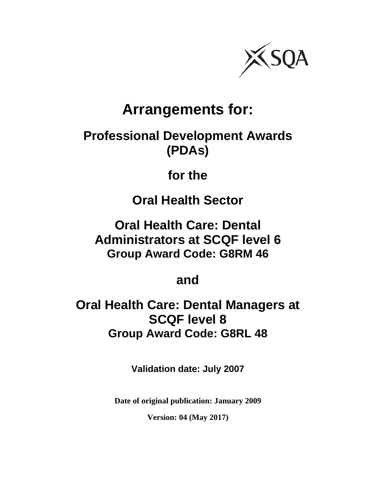

# **Arrangements for:**

# **Professional Development Awards (PDAs)**

# **for the**

**Oral Health Sector** 

**Oral Health Care: Dental Administrators at SCQF level 6 Group Award Code: G8RM 46** 

**and** 

**Oral Health Care: Dental Managers at SCQF level 8 Group Award Code: G8RL 48** 

**Validation date: July 2007** 

**Date of original publication: January 2009** 

**Version: 04 (May 2017)**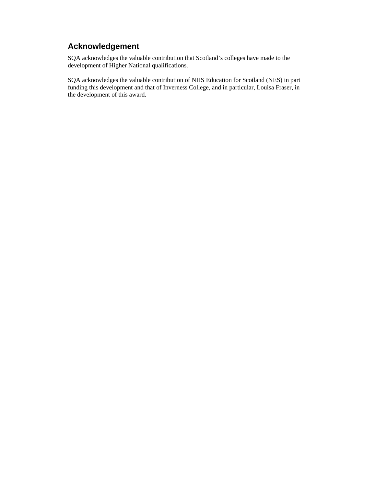# **Acknowledgement**

SQA acknowledges the valuable contribution that Scotland's colleges have made to the development of Higher National qualifications.

SQA acknowledges the valuable contribution of NHS Education for Scotland (NES) in part funding this development and that of Inverness College, and in particular, Louisa Fraser, in the development of this award.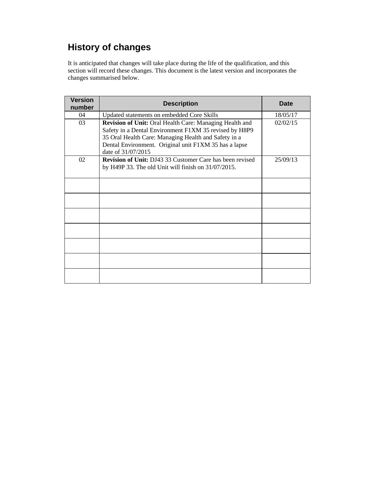# **History of changes**

It is anticipated that changes will take place during the life of the qualification, and this section will record these changes. This document is the latest version and incorporates the changes summarised below.

| <b>Version</b><br>number | <b>Description</b>                                                                                                                                                                                                                                              | <b>Date</b> |
|--------------------------|-----------------------------------------------------------------------------------------------------------------------------------------------------------------------------------------------------------------------------------------------------------------|-------------|
| 04                       | Updated statements on embedded Core Skills                                                                                                                                                                                                                      | 18/05/17    |
| 03                       | <b>Revision of Unit: Oral Health Care: Managing Health and</b><br>Safety in a Dental Environment F1XM 35 revised by H8P9<br>35 Oral Health Care: Managing Health and Safety in a<br>Dental Environment. Original unit F1XM 35 has a lapse<br>date of 31/07/2015 | 02/02/15    |
| 02                       | <b>Revision of Unit:</b> DJ43 33 Customer Care has been revised<br>by H49P 33. The old Unit will finish on 31/07/2015.                                                                                                                                          | 25/09/13    |
|                          |                                                                                                                                                                                                                                                                 |             |
|                          |                                                                                                                                                                                                                                                                 |             |
|                          |                                                                                                                                                                                                                                                                 |             |
|                          |                                                                                                                                                                                                                                                                 |             |
|                          |                                                                                                                                                                                                                                                                 |             |
|                          |                                                                                                                                                                                                                                                                 |             |
|                          |                                                                                                                                                                                                                                                                 |             |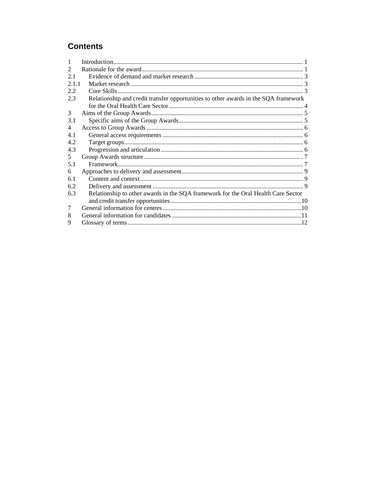# **Contents**

| 1              |                                                                                     |  |
|----------------|-------------------------------------------------------------------------------------|--|
| 2              |                                                                                     |  |
| 2.1            |                                                                                     |  |
| 2.1.1          |                                                                                     |  |
| 2.2            |                                                                                     |  |
| 2.3            | Relationship and credit transfer opportunities to other awards in the SQA framework |  |
|                |                                                                                     |  |
| 3              |                                                                                     |  |
| 3.1            |                                                                                     |  |
| $\overline{4}$ |                                                                                     |  |
| 4.1            |                                                                                     |  |
| 4.2            |                                                                                     |  |
| 4.3            |                                                                                     |  |
| 5.             |                                                                                     |  |
| 5.1            |                                                                                     |  |
| 6              |                                                                                     |  |
| 6.1            |                                                                                     |  |
| 6.2            |                                                                                     |  |
| 6.3            | Relationship to other awards in the SQA framework for the Oral Health Care Sector   |  |
| 7              |                                                                                     |  |
| 8              |                                                                                     |  |
|                |                                                                                     |  |
| 9              |                                                                                     |  |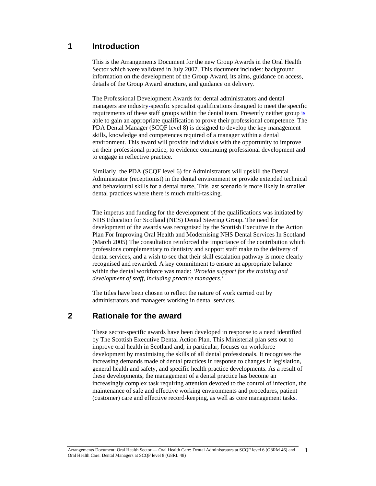# **1 Introduction**

This is the Arrangements Document for the new Group Awards in the Oral Health Sector which were validated in July 2007. This document includes: background information on the development of the Group Award, its aims, guidance on access, details of the Group Award structure, and guidance on delivery.

The Professional Development Awards for dental administrators and dental managers are industry-specific specialist qualifications designed to meet the specific requirements of these staff groups within the dental team. Presently neither group is able to gain an appropriate qualification to prove their professional competence. The PDA Dental Manager (SCQF level 8) is designed to develop the key management skills, knowledge and competences required of a manager within a dental environment. This award will provide individuals with the opportunity to improve on their professional practice, to evidence continuing professional development and to engage in reflective practice.

Similarly, the PDA (SCQF level 6) for Administrators will upskill the Dental Administrator (receptionist) in the dental environment or provide extended technical and behavioural skills for a dental nurse, This last scenario is more likely in smaller dental practices where there is much multi-tasking.

The impetus and funding for the development of the qualifications was initiated by NHS Education for Scotland (NES) Dental Steering Group. The need for development of the awards was recognised by the Scottish Executive in the Action Plan For Improving Oral Health and Modernising NHS Dental Services In Scotland (March 2005) The consultation reinforced the importance of the contribution which professions complementary to dentistry and support staff make to the delivery of dental services, and a wish to see that their skill escalation pathway is more clearly recognised and rewarded. A key commitment to ensure an appropriate balance within the dental workforce was made: *'Provide support for the training and development of staff, including practice managers.'* 

The titles have been chosen to reflect the nature of work carried out by administrators and managers working in dental services.

# **2 Rationale for the award**

These sector-specific awards have been developed in response to a need identified by The Scottish Executive Dental Action Plan. This Ministerial plan sets out to improve oral health in Scotland and, in particular, focuses on workforce development by maximising the skills of all dental professionals. It recognises the increasing demands made of dental practices in response to changes in legislation, general health and safety, and specific health practice developments. As a result of these developments, the management of a dental practice has become an increasingly complex task requiring attention devoted to the control of infection, the maintenance of safe and effective working environments and procedures, patient (customer) care and effective record-keeping, as well as core management tasks.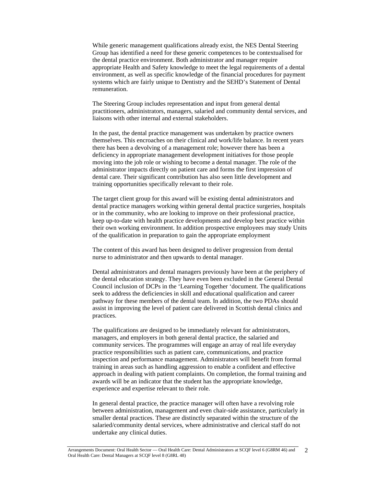While generic management qualifications already exist, the NES Dental Steering Group has identified a need for these generic competences to be contextualised for the dental practice environment. Both administrator and manager require appropriate Health and Safety knowledge to meet the legal requirements of a dental environment, as well as specific knowledge of the financial procedures for payment systems which are fairly unique to Dentistry and the SEHD's Statement of Dental remuneration.

The Steering Group includes representation and input from general dental practitioners, administrators, managers, salaried and community dental services, and liaisons with other internal and external stakeholders.

In the past, the dental practice management was undertaken by practice owners themselves. This encroaches on their clinical and work/life balance. In recent years there has been a devolving of a management role; however there has been a deficiency in appropriate management development initiatives for those people moving into the job role or wishing to become a dental manager. The role of the administrator impacts directly on patient care and forms the first impression of dental care. Their significant contribution has also seen little development and training opportunities specifically relevant to their role.

The target client group for this award will be existing dental administrators and dental practice managers working within general dental practice surgeries, hospitals or in the community, who are looking to improve on their professional practice, keep up-to-date with health practice developments and develop best practice within their own working environment. In addition prospective employees may study Units of the qualification in preparation to gain the appropriate employment

The content of this award has been designed to deliver progression from dental nurse to administrator and then upwards to dental manager.

Dental administrators and dental managers previously have been at the periphery of the dental education strategy. They have even been excluded in the General Dental Council inclusion of DCPs in the 'Learning Together 'document. The qualifications seek to address the deficiencies in skill and educational qualification and career pathway for these members of the dental team. In addition, the two PDAs should assist in improving the level of patient care delivered in Scottish dental clinics and practices.

The qualifications are designed to be immediately relevant for administrators, managers, and employers in both general dental practice, the salaried and community services. The programmes will engage an array of real life everyday practice responsibilities such as patient care, communications, and practice inspection and performance management. Administrators will benefit from formal training in areas such as handling aggression to enable a confident and effective approach in dealing with patient complaints. On completion, the formal training and awards will be an indicator that the student has the appropriate knowledge, experience and expertise relevant to their role.

In general dental practice, the practice manager will often have a revolving role between administration, management and even chair-side assistance, particularly in smaller dental practices. These are distinctly separated within the structure of the salaried/community dental services, where administrative and clerical staff do not undertake any clinical duties.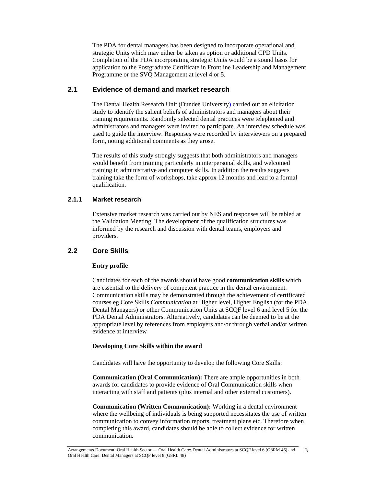The PDA for dental managers has been designed to incorporate operational and strategic Units which may either be taken as option or additional CPD Units. Completion of the PDA incorporating strategic Units would be a sound basis for application to the Postgraduate Certificate in Frontline Leadership and Management Programme or the SVQ Management at level 4 or 5.

## **2.1 Evidence of demand and market research**

The Dental Health Research Unit (Dundee University) carried out an elicitation study to identify the salient beliefs of administrators and managers about their training requirements. Randomly selected dental practices were telephoned and administrators and managers were invited to participate. An interview schedule was used to guide the interview. Responses were recorded by interviewers on a prepared form, noting additional comments as they arose.

The results of this study strongly suggests that both administrators and managers would benefit from training particularly in interpersonal skills, and welcomed training in administrative and computer skills. In addition the results suggests training take the form of workshops, take approx 12 months and lead to a formal qualification.

## **2.1.1 Market research**

Extensive market research was carried out by NES and responses will be tabled at the Validation Meeting. The development of the qualification structures was informed by the research and discussion with dental teams, employers and providers.

# **2.2 Core Skills**

## **Entry profile**

Candidates for each of the awards should have good **communication skills** which are essential to the delivery of competent practice in the dental environment. Communication skills may be demonstrated through the achievement of certificated courses eg Core Skills *Communication* at Higher level, Higher English (for the PDA Dental Managers) or other Communication Units at SCQF level 6 and level 5 for the PDA Dental Administrators. Alternatively, candidates can be deemed to be at the appropriate level by references from employers and/or through verbal and/or written evidence at interview

## **Developing Core Skills within the award**

Candidates will have the opportunity to develop the following Core Skills:

**Communication (Oral Communication):** There are ample opportunities in both awards for candidates to provide evidence of Oral Communication skills when interacting with staff and patients (plus internal and other external customers).

**Communication (Written Communication):** Working in a dental environment where the wellbeing of individuals is being supported necessitates the use of written communication to convey information reports, treatment plans etc. Therefore when completing this award, candidates should be able to collect evidence for written communication.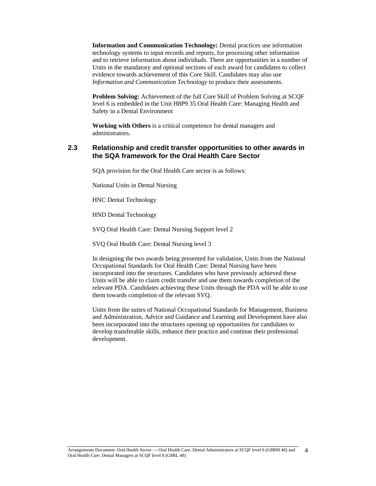**Information and Communication Technology:** Dental practices use information technology systems to input records and reports, for processing other information and to retrieve information about individuals. There are opportunities in a number of Units in the mandatory and optional sections of each award for candidates to collect evidence towards achievement of this Core Skill. Candidates may also use *Information and Communication Technology* to produce their assessments.

**Problem Solving:** Achievement of the full Core Skill of Problem Solving at SCQF level 6 is embedded in the Unit H8P9 35 Oral Health Care: Managing Health and Safety in a Dental Environment

**Working with Others** is a critical competence for dental managers and administrators.

## **2.3 Relationship and credit transfer opportunities to other awards in the SQA framework for the Oral Health Care Sector**

SQA provision for the Oral Health Care sector is as follows:

National Units in Dental Nursing

HNC Dental Technology

HND Dental Technology

SVQ Oral Health Care: Dental Nursing Support level 2

SVQ Oral Health Care: Dental Nursing level 3

In designing the two awards being presented for validation, Units from the National Occupational Standards for Oral Health Care: Dental Nursing have been incorporated into the structures. Candidates who have previously achieved these Units will be able to claim credit transfer and use them towards completion of the relevant PDA. Candidates achieving these Units through the PDA will be able to use them towards completion of the relevant SVQ.

Units from the suites of National Occupational Standards for Management, Business and Administration, Advice and Guidance and Learning and Development have also been incorporated into the structures opening up opportunities for candidates to develop transferable skills, enhance their practice and continue their professional development.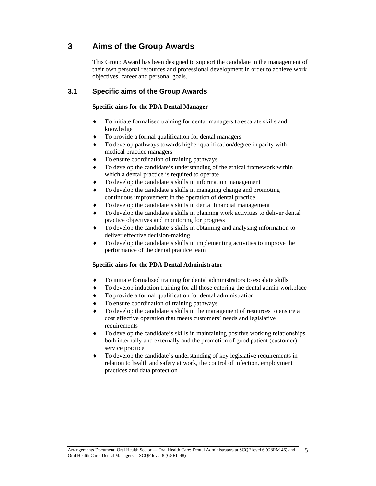# **3 Aims of the Group Awards**

This Group Award has been designed to support the candidate in the management of their own personal resources and professional development in order to achieve work objectives, career and personal goals.

# **3.1 Specific aims of the Group Awards**

#### **Specific aims for the PDA Dental Manager**

- To initiate formalised training for dental managers to escalate skills and knowledge
- To provide a formal qualification for dental managers
- To develop pathways towards higher qualification/degree in parity with medical practice managers
- To ensure coordination of training pathways
- To develop the candidate's understanding of the ethical framework within which a dental practice is required to operate
- To develop the candidate's skills in information management
- To develop the candidate's skills in managing change and promoting continuous improvement in the operation of dental practice
- To develop the candidate's skills in dental financial management
- To develop the candidate's skills in planning work activities to deliver dental practice objectives and monitoring for progress
- To develop the candidate's skills in obtaining and analysing information to deliver effective decision-making
- To develop the candidate's skills in implementing activities to improve the performance of the dental practice team

## **Specific aims for the PDA Dental Administrator**

- To initiate formalised training for dental administrators to escalate skills
- To develop induction training for all those entering the dental admin workplace
- To provide a formal qualification for dental administration
- To ensure coordination of training pathways
- To develop the candidate's skills in the management of resources to ensure a cost effective operation that meets customers' needs and legislative requirements
- To develop the candidate's skills in maintaining positive working relationships both internally and externally and the promotion of good patient (customer) service practice
- To develop the candidate's understanding of key legislative requirements in relation to health and safety at work, the control of infection, employment practices and data protection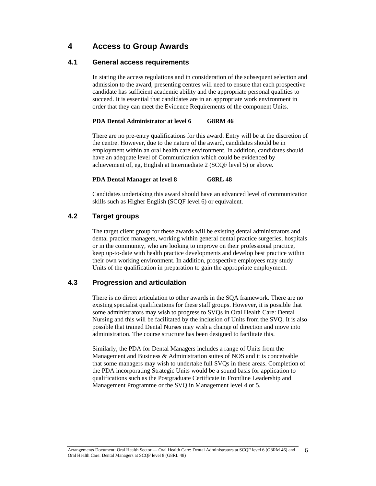# **4 Access to Group Awards**

## **4.1 General access requirements**

In stating the access regulations and in consideration of the subsequent selection and admission to the award, presenting centres will need to ensure that each prospective candidate has sufficient academic ability and the appropriate personal qualities to succeed. It is essential that candidates are in an appropriate work environment in order that they can meet the Evidence Requirements of the component Units.

#### **PDA Dental Administrator at level 6 G8RM 46**

There are no pre-entry qualifications for this award. Entry will be at the discretion of the centre. However, due to the nature of the award, candidates should be in employment within an oral health care environment. In addition, candidates should have an adequate level of Communication which could be evidenced by achievement of, eg, English at Intermediate 2 (SCQF level 5) or above.

#### **PDA Dental Manager at level 8 G8RL 48**

Candidates undertaking this award should have an advanced level of communication skills such as Higher English (SCQF level 6) or equivalent.

# **4.2 Target groups**

The target client group for these awards will be existing dental administrators and dental practice managers, working within general dental practice surgeries, hospitals or in the community, who are looking to improve on their professional practice, keep up-to-date with health practice developments and develop best practice within their own working environment. In addition, prospective employees may study Units of the qualification in preparation to gain the appropriate employment.

# **4.3 Progression and articulation**

There is no direct articulation to other awards in the SQA framework. There are no existing specialist qualifications for these staff groups. However, it is possible that some administrators may wish to progress to SVQs in Oral Health Care: Dental Nursing and this will be facilitated by the inclusion of Units from the SVQ. It is also possible that trained Dental Nurses may wish a change of direction and move into administration. The course structure has been designed to facilitate this.

Similarly, the PDA for Dental Managers includes a range of Units from the Management and Business & Administration suites of NOS and it is conceivable that some managers may wish to undertake full SVQs in these areas. Completion of the PDA incorporating Strategic Units would be a sound basis for application to qualifications such as the Postgraduate Certificate in Frontline Leadership and Management Programme or the SVQ in Management level 4 or 5.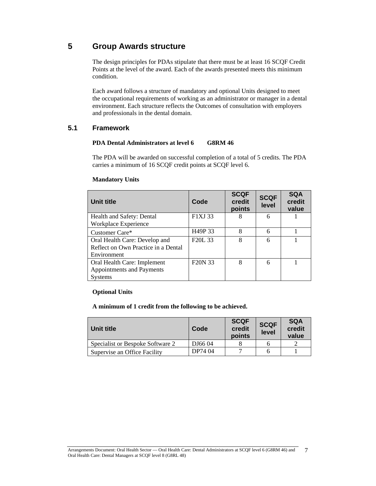# **5 Group Awards structure**

The design principles for PDAs stipulate that there must be at least 16 SCQF Credit Points at the level of the award. Each of the awards presented meets this minimum condition.

Each award follows a structure of mandatory and optional Units designed to meet the occupational requirements of working as an administrator or manager in a dental environment. Each structure reflects the Outcomes of consultation with employers and professionals in the dental domain.

## **5.1 Framework**

#### **PDA Dental Administrators at level 6 G8RM 46**

The PDA will be awarded on successful completion of a total of 5 credits. The PDA carries a minimum of 16 SCQF credit points at SCQF level 6.

#### **Mandatory Units**

| Unit title                          | Code                            | <b>SCQF</b><br>credit<br>points | <b>SCQF</b><br>level | <b>SQA</b><br>credit<br>value |
|-------------------------------------|---------------------------------|---------------------------------|----------------------|-------------------------------|
| Health and Safety: Dental           | F1XJ 33                         | 8                               | 6                    |                               |
| Workplace Experience                |                                 |                                 |                      |                               |
| Customer Care*                      | H <sub>49</sub> P 33            | 8                               | 6                    |                               |
| Oral Health Care: Develop and       | F <sub>20</sub> L <sub>33</sub> | 8                               | 6                    |                               |
| Reflect on Own Practice in a Dental |                                 |                                 |                      |                               |
| Environment                         |                                 |                                 |                      |                               |
| Oral Health Care: Implement         | F <sub>20</sub> N 33            | 8                               | 6                    |                               |
| Appointments and Payments           |                                 |                                 |                      |                               |
| <b>Systems</b>                      |                                 |                                 |                      |                               |

#### **Optional Units**

#### **A minimum of 1 credit from the following to be achieved.**

| Unit title                       | Code    | <b>SCQF</b><br>credit<br>points | <b>SCQF</b><br>level | <b>SQA</b><br>credit<br>value |
|----------------------------------|---------|---------------------------------|----------------------|-------------------------------|
| Specialist or Bespoke Software 2 | DJ6604  |                                 |                      |                               |
| Supervise an Office Facility     | DP74 04 |                                 |                      |                               |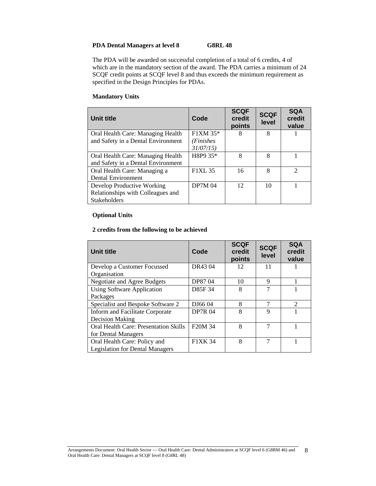## **PDA Dental Managers at level 8 G8RL 48**

The PDA will be awarded on successful completion of a total of 6 credits, 4 of which are in the mandatory section of the award. The PDA carries a minimum of 24 SCQF credit points at SCQF level 8 and thus exceeds the minimum requirement as specified in the Design Principles for PDAs.

#### **Mandatory Units**

| Unit title                         | Code           | <b>SCQF</b><br>credit<br>points | <b>SCQF</b><br>level | <b>SQA</b><br>credit<br>value |
|------------------------------------|----------------|---------------------------------|----------------------|-------------------------------|
| Oral Health Care: Managing Health  | $F1XM 35*$     | 8                               | 8                    |                               |
| and Safety in a Dental Environment | (Finishes      |                                 |                      |                               |
|                                    | 31/07/15       |                                 |                      |                               |
| Oral Health Care: Managing Health  | H8P9 35*       | 8                               | 8                    |                               |
| and Safety in a Dental Environment |                |                                 |                      |                               |
| Oral Health Care: Managing a       | <b>F1XL 35</b> | 16                              | 8                    | $\mathcal{D}$                 |
| Dental Environment                 |                |                                 |                      |                               |
| Develop Productive Working         | <b>DP7M 04</b> | 12.                             | 10                   |                               |
| Relationships with Colleagues and  |                |                                 |                      |                               |
| Stakeholders                       |                |                                 |                      |                               |

#### **Optional Units**

#### **2 credits from the following to be achieved**

| Unit title                                   | Code                 | <b>SCQF</b><br>credit<br>points | <b>SCQF</b><br>level | <b>SQA</b><br>credit<br>value |
|----------------------------------------------|----------------------|---------------------------------|----------------------|-------------------------------|
| Develop a Customer Focussed                  | DR43 04              | 12                              | 11                   |                               |
| Organisation                                 |                      |                                 |                      |                               |
| Negotiate and Agree Budgets                  | DP87 04              | 10                              | 9                    |                               |
| <b>Using Software Application</b>            | D85F 34              | $\mathsf{\ }$                   | $\overline{7}$       |                               |
| Packages                                     |                      |                                 |                      |                               |
| Specialist and Bespoke Software 2            | DJ6604               | 8                               | 7                    | $\mathcal{D}_{\mathcal{L}}$   |
| Inform and Facilitate Corporate              | <b>DP7R 04</b>       | 8                               | $\mathbf Q$          |                               |
| <b>Decision Making</b>                       |                      |                                 |                      |                               |
| <b>Oral Health Care: Presentation Skills</b> | F <sub>20</sub> M 34 | 8                               | 7                    |                               |
| for Dental Managers                          |                      |                                 |                      |                               |
| Oral Health Care: Policy and                 | F1XK 34              | 8                               | 7                    |                               |
| <b>Legislation for Dental Managers</b>       |                      |                                 |                      |                               |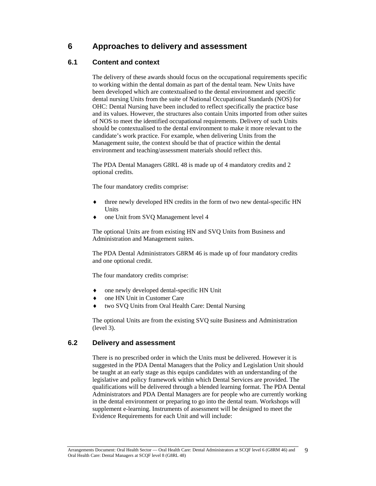# **6 Approaches to delivery and assessment**

# **6.1 Content and context**

The delivery of these awards should focus on the occupational requirements specific to working within the dental domain as part of the dental team. New Units have been developed which are contextualised to the dental environment and specific dental nursing Units from the suite of National Occupational Standards (NOS) for OHC: Dental Nursing have been included to reflect specifically the practice base and its values. However, the structures also contain Units imported from other suites of NOS to meet the identified occupational requirements. Delivery of such Units should be contextualised to the dental environment to make it more relevant to the candidate's work practice. For example, when delivering Units from the Management suite, the context should be that of practice within the dental environment and teaching/assessment materials should reflect this.

The PDA Dental Managers G8RL 48 is made up of 4 mandatory credits and 2 optional credits.

The four mandatory credits comprise:

- three newly developed HN credits in the form of two new dental-specific HN Units
- one Unit from SVQ Management level 4

The optional Units are from existing HN and SVQ Units from Business and Administration and Management suites.

The PDA Dental Administrators G8RM 46 is made up of four mandatory credits and one optional credit.

The four mandatory credits comprise:

- one newly developed dental-specific HN Unit
- one HN Unit in Customer Care
- two SVQ Units from Oral Health Care: Dental Nursing

The optional Units are from the existing SVQ suite Business and Administration (level 3).

# **6.2 Delivery and assessment**

There is no prescribed order in which the Units must be delivered. However it is suggested in the PDA Dental Managers that the Policy and Legislation Unit should be taught at an early stage as this equips candidates with an understanding of the legislative and policy framework within which Dental Services are provided. The qualifications will be delivered through a blended learning format. The PDA Dental Administrators and PDA Dental Managers are for people who are currently working in the dental environment or preparing to go into the dental team. Workshops will supplement e-learning. Instruments of assessment will be designed to meet the Evidence Requirements for each Unit and will include: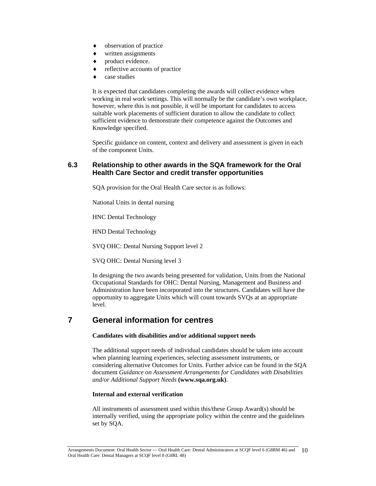- observation of practice
- written assignments
- product evidence.
- reflective accounts of practice
- case studies

It is expected that candidates completing the awards will collect evidence when working in real work settings. This will normally be the candidate's own workplace, however, where this is not possible, it will be important for candidates to access suitable work placements of sufficient duration to allow the candidate to collect sufficient evidence to demonstrate their competence against the Outcomes and Knowledge specified.

Specific guidance on content, context and delivery and assessment is given in each of the component Units.

## **6.3 Relationship to other awards in the SQA framework for the Oral Health Care Sector and credit transfer opportunities**

SQA provision for the Oral Health Care sector is as follows:

National Units in dental nursing

HNC Dental Technology

HND Dental Technology

SVQ OHC: Dental Nursing Support level 2

SVQ OHC: Dental Nursing level 3

In designing the two awards being presented for validation, Units from the National Occupational Standards for OHC: Dental Nursing, Management and Business and Administration have been incorporated into the structures. Candidates will have the opportunity to aggregate Units which will count towards SVQs at an appropriate level.

# **7 General information for centres**

#### **Candidates with disabilities and/or additional support needs**

The additional support needs of individual candidates should be taken into account when planning learning experiences, selecting assessment instruments, or considering alternative Outcomes for Units. Further advice can be found in the SQA document *Guidance on Assessment Arrangements for Candidates with Disabilities and/or Additional Support Needs* **(www.sqa.org.uk)**.

#### **Internal and external verification**

All instruments of assessment used within this/these Group Award(s) should be internally verified, using the appropriate policy within the centre and the guidelines set by SQA.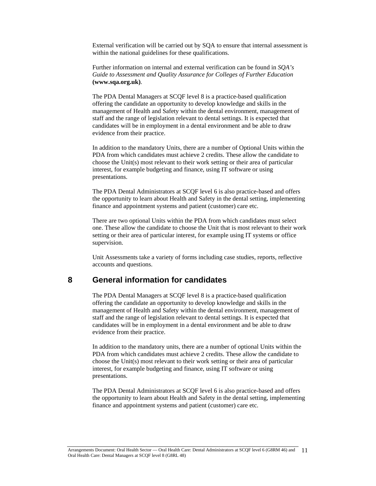External verification will be carried out by SQA to ensure that internal assessment is within the national guidelines for these qualifications.

Further information on internal and external verification can be found in *SQA's Guide to Assessment and Quality Assurance for Colleges of Further Education* **(www.sqa.org.uk)**.

The PDA Dental Managers at SCQF level 8 is a practice-based qualification offering the candidate an opportunity to develop knowledge and skills in the management of Health and Safety within the dental environment, management of staff and the range of legislation relevant to dental settings. It is expected that candidates will be in employment in a dental environment and be able to draw evidence from their practice.

In addition to the mandatory Units, there are a number of Optional Units within the PDA from which candidates must achieve 2 credits. These allow the candidate to choose the Unit(s) most relevant to their work setting or their area of particular interest, for example budgeting and finance, using IT software or using presentations.

The PDA Dental Administrators at SCQF level 6 is also practice-based and offers the opportunity to learn about Health and Safety in the dental setting, implementing finance and appointment systems and patient (customer) care etc.

There are two optional Units within the PDA from which candidates must select one. These allow the candidate to choose the Unit that is most relevant to their work setting or their area of particular interest, for example using IT systems or office supervision.

Unit Assessments take a variety of forms including case studies, reports, reflective accounts and questions.

# **8 General information for candidates**

The PDA Dental Managers at SCQF level 8 is a practice-based qualification offering the candidate an opportunity to develop knowledge and skills in the management of Health and Safety within the dental environment, management of staff and the range of legislation relevant to dental settings. It is expected that candidates will be in employment in a dental environment and be able to draw evidence from their practice.

In addition to the mandatory units, there are a number of optional Units within the PDA from which candidates must achieve 2 credits. These allow the candidate to choose the Unit(s) most relevant to their work setting or their area of particular interest, for example budgeting and finance, using IT software or using presentations.

The PDA Dental Administrators at SCQF level 6 is also practice-based and offers the opportunity to learn about Health and Safety in the dental setting, implementing finance and appointment systems and patient (customer) care etc.

Arrangements Document: Oral Health Sector — Oral Health Care: Dental Administrators at SCQF level 6 (G8RM 46) and 11 Oral Health Care: Dental Managers at SCQF level 8 (G8RL 48)